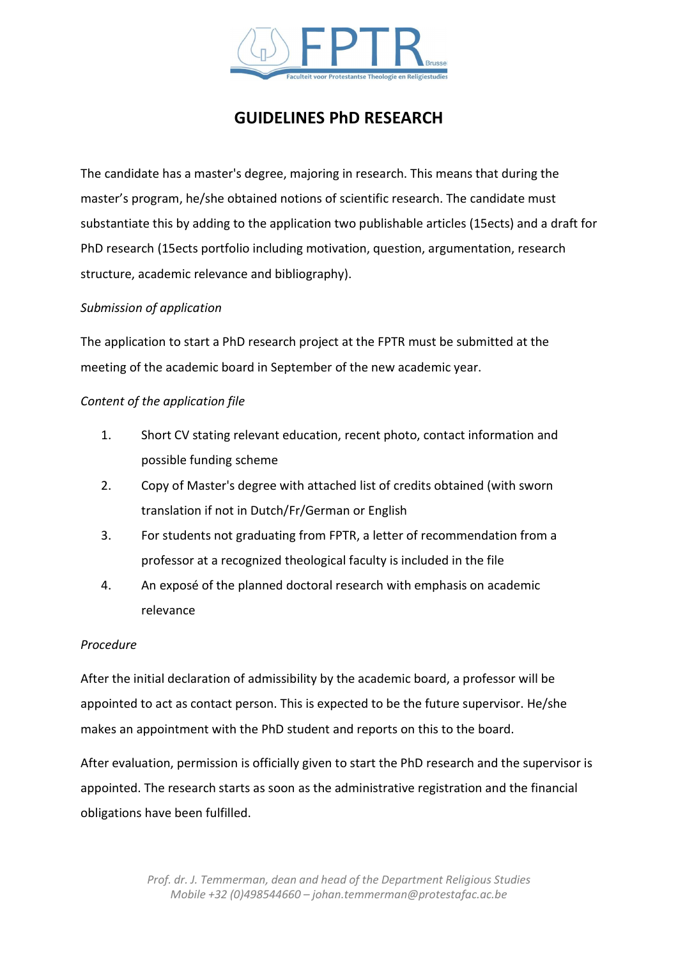

# GUIDELINES PhD RESEARCH

The candidate has a master's degree, majoring in research. This means that during the master's program, he/she obtained notions of scientific research. The candidate must substantiate this by adding to the application two publishable articles (15ects) and a draft for PhD research (15ects portfolio including motivation, question, argumentation, research structure, academic relevance and bibliography).

# Submission of application

The application to start a PhD research project at the FPTR must be submitted at the meeting of the academic board in September of the new academic year.

# Content of the application file

- 1. Short CV stating relevant education, recent photo, contact information and possible funding scheme
- 2. Copy of Master's degree with attached list of credits obtained (with sworn translation if not in Dutch/Fr/German or English
- 3. For students not graduating from FPTR, a letter of recommendation from a professor at a recognized theological faculty is included in the file
- 4. An exposé of the planned doctoral research with emphasis on academic relevance

#### Procedure

After the initial declaration of admissibility by the academic board, a professor will be appointed to act as contact person. This is expected to be the future supervisor. He/she makes an appointment with the PhD student and reports on this to the board.

After evaluation, permission is officially given to start the PhD research and the supervisor is appointed. The research starts as soon as the administrative registration and the financial obligations have been fulfilled.